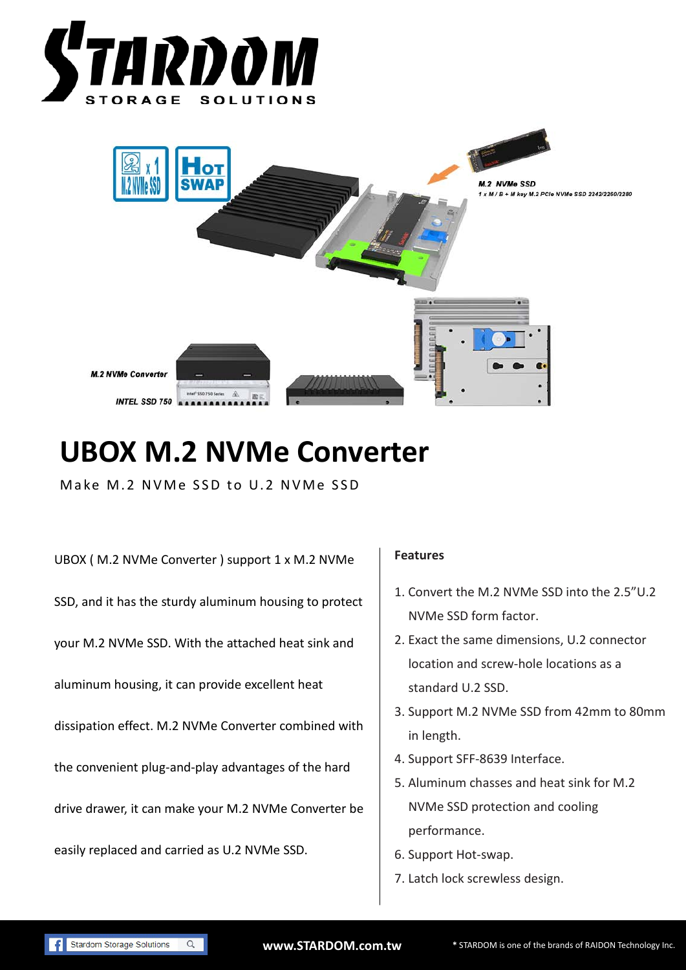



## **UBOX M.2 NVMe Converter**

Make M.2 NVMe SSD to U.2 NVMe SSD

UBOX ( M.2 NVMe Converter ) support 1 x M.2 NVMe SSD, and it has the sturdy aluminum housing to protect your M.2 NVMe SSD. With the attached heat sink and aluminum housing, it can provide excellent heat dissipation effect. M.2 NVMe Converter combined with the convenient plug-and-play advantages of the hard drive drawer, it can make your M.2 NVMe Converter be easily replaced and carried as U.2 NVMe SSD.

## **Features**

- 1. Convert the M.2 NVMe SSD into the 2.5"U.2 NVMe SSD form factor.
- 2. Exact the same dimensions, U.2 connector location and screw-hole locations as a standard U.2 SSD.
- 3. Support M.2 NVMe SSD from 42mm to 80mm in length.
- 4. Support SFF-8639 Interface.
- 5. Aluminum chasses and heat sink for M.2 NVMe SSD protection and cooling performance.
- 6. Support Hot-swap.
- 7. Latch lock screwless design.